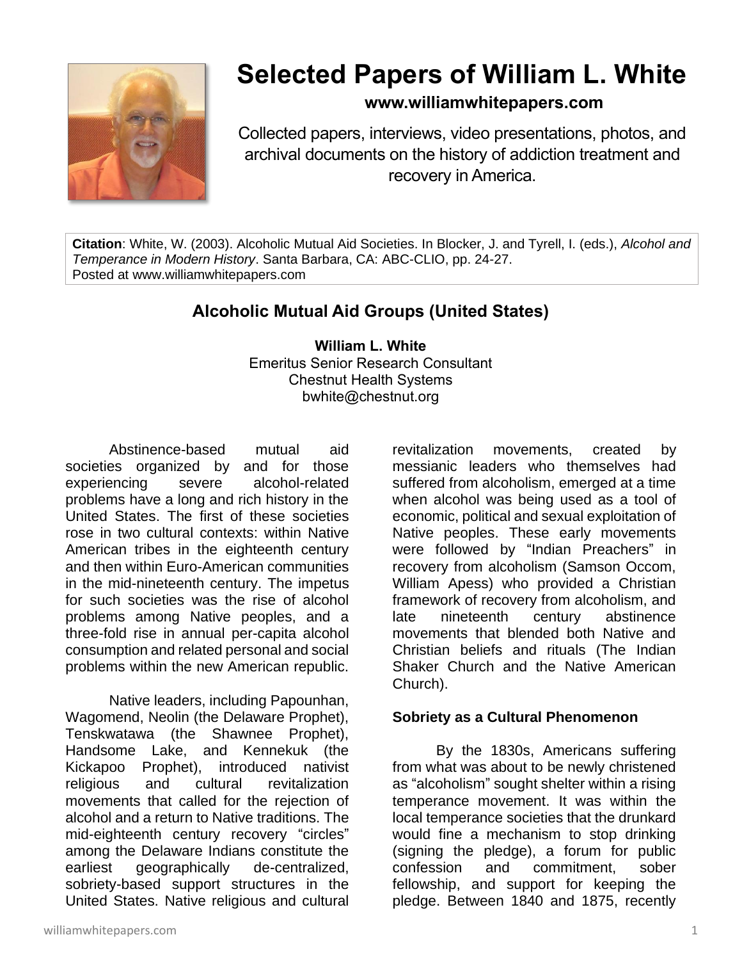

# **Selected Papers of William L. White**

#### **www.williamwhitepapers.com**

Collected papers, interviews, video presentations, photos, and archival documents on the history of addiction treatment and recovery in America.

**Citation**: White, W. (2003). Alcoholic Mutual Aid Societies. In Blocker, J. and Tyrell, I. (eds.), *Alcohol and Temperance in Modern History*. Santa Barbara, CA: ABC-CLIO, pp. 24-27. Posted at www.williamwhitepapers.com

## **Alcoholic Mutual Aid Groups (United States)**

**William L. White** Emeritus Senior Research Consultant Chestnut Health Systems bwhite@chestnut.org

Abstinence-based mutual aid societies organized by and for those experiencing severe alcohol-related problems have a long and rich history in the United States. The first of these societies rose in two cultural contexts: within Native American tribes in the eighteenth century and then within Euro-American communities in the mid-nineteenth century. The impetus for such societies was the rise of alcohol problems among Native peoples, and a three-fold rise in annual per-capita alcohol consumption and related personal and social problems within the new American republic.

Native leaders, including Papounhan, Wagomend, Neolin (the Delaware Prophet), Tenskwatawa (the Shawnee Prophet), Handsome Lake, and Kennekuk (the Kickapoo Prophet), introduced nativist religious and cultural revitalization movements that called for the rejection of alcohol and a return to Native traditions. The mid-eighteenth century recovery "circles" among the Delaware Indians constitute the earliest geographically de-centralized, sobriety-based support structures in the United States. Native religious and cultural revitalization movements, created by messianic leaders who themselves had suffered from alcoholism, emerged at a time when alcohol was being used as a tool of economic, political and sexual exploitation of Native peoples. These early movements were followed by "Indian Preachers" in recovery from alcoholism (Samson Occom, William Apess) who provided a Christian framework of recovery from alcoholism, and late nineteenth century abstinence movements that blended both Native and Christian beliefs and rituals (The Indian Shaker Church and the Native American Church).

#### **Sobriety as a Cultural Phenomenon**

By the 1830s, Americans suffering from what was about to be newly christened as "alcoholism" sought shelter within a rising temperance movement. It was within the local temperance societies that the drunkard would fine a mechanism to stop drinking (signing the pledge), a forum for public confession and commitment, sober fellowship, and support for keeping the pledge. Between 1840 and 1875, recently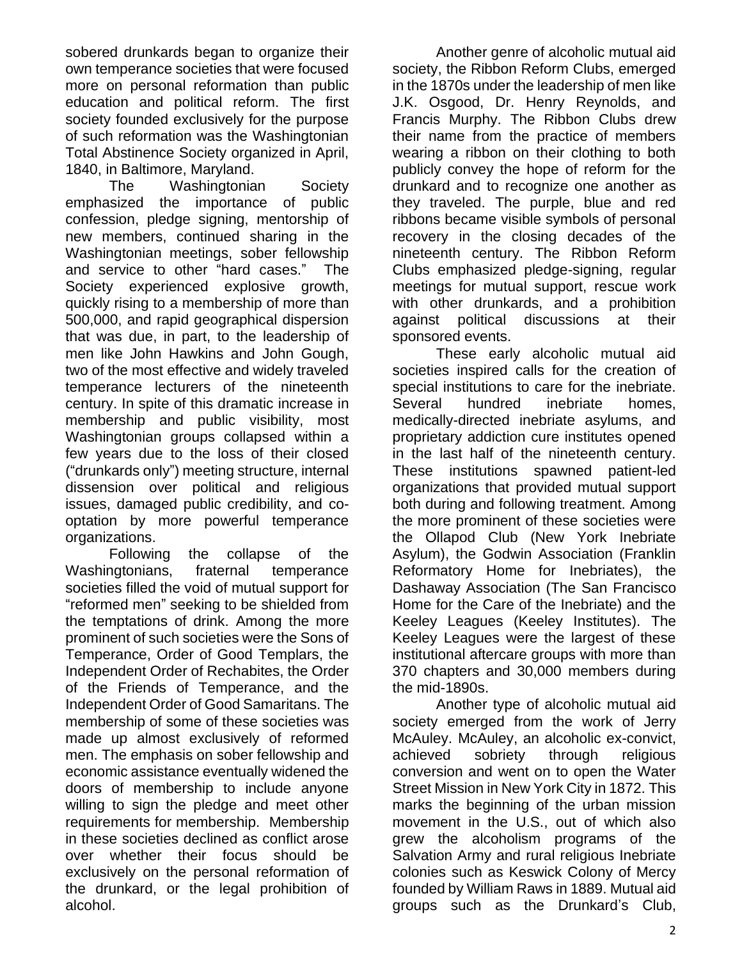sobered drunkards began to organize their own temperance societies that were focused more on personal reformation than public education and political reform. The first society founded exclusively for the purpose of such reformation was the Washingtonian Total Abstinence Society organized in April, 1840, in Baltimore, Maryland.

The Washingtonian Society emphasized the importance of public confession, pledge signing, mentorship of new members, continued sharing in the Washingtonian meetings, sober fellowship and service to other "hard cases." The Society experienced explosive growth, quickly rising to a membership of more than 500,000, and rapid geographical dispersion that was due, in part, to the leadership of men like John Hawkins and John Gough, two of the most effective and widely traveled temperance lecturers of the nineteenth century. In spite of this dramatic increase in membership and public visibility, most Washingtonian groups collapsed within a few years due to the loss of their closed ("drunkards only") meeting structure, internal dissension over political and religious issues, damaged public credibility, and cooptation by more powerful temperance organizations.

Following the collapse of the Washingtonians, fraternal temperance societies filled the void of mutual support for "reformed men" seeking to be shielded from the temptations of drink. Among the more prominent of such societies were the Sons of Temperance, Order of Good Templars, the Independent Order of Rechabites, the Order of the Friends of Temperance, and the Independent Order of Good Samaritans. The membership of some of these societies was made up almost exclusively of reformed men. The emphasis on sober fellowship and economic assistance eventually widened the doors of membership to include anyone willing to sign the pledge and meet other requirements for membership. Membership in these societies declined as conflict arose over whether their focus should be exclusively on the personal reformation of the drunkard, or the legal prohibition of alcohol.

Another genre of alcoholic mutual aid society, the Ribbon Reform Clubs, emerged in the 1870s under the leadership of men like J.K. Osgood, Dr. Henry Reynolds, and Francis Murphy. The Ribbon Clubs drew their name from the practice of members wearing a ribbon on their clothing to both publicly convey the hope of reform for the drunkard and to recognize one another as they traveled. The purple, blue and red ribbons became visible symbols of personal recovery in the closing decades of the nineteenth century. The Ribbon Reform Clubs emphasized pledge-signing, regular meetings for mutual support, rescue work with other drunkards, and a prohibition against political discussions at their sponsored events.

These early alcoholic mutual aid societies inspired calls for the creation of special institutions to care for the inebriate. Several hundred inebriate homes, medically-directed inebriate asylums, and proprietary addiction cure institutes opened in the last half of the nineteenth century. These institutions spawned patient-led organizations that provided mutual support both during and following treatment. Among the more prominent of these societies were the Ollapod Club (New York Inebriate Asylum), the Godwin Association (Franklin Reformatory Home for Inebriates), the Dashaway Association (The San Francisco Home for the Care of the Inebriate) and the Keeley Leagues (Keeley Institutes). The Keeley Leagues were the largest of these institutional aftercare groups with more than 370 chapters and 30,000 members during the mid-1890s.

Another type of alcoholic mutual aid society emerged from the work of Jerry McAuley. McAuley, an alcoholic ex-convict, achieved sobriety through religious conversion and went on to open the Water Street Mission in New York City in 1872. This marks the beginning of the urban mission movement in the U.S., out of which also grew the alcoholism programs of the Salvation Army and rural religious Inebriate colonies such as Keswick Colony of Mercy founded by William Raws in 1889. Mutual aid groups such as the Drunkard's Club,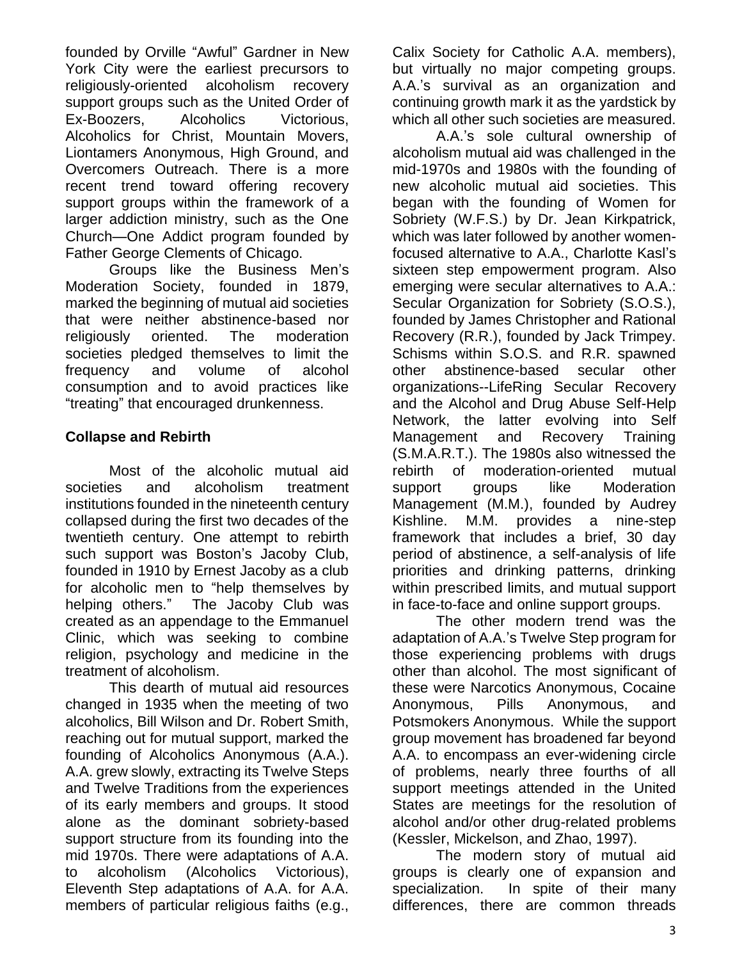founded by Orville "Awful" Gardner in New York City were the earliest precursors to religiously-oriented alcoholism recovery support groups such as the United Order of Ex-Boozers, Alcoholics Victorious, Alcoholics for Christ, Mountain Movers, Liontamers Anonymous, High Ground, and Overcomers Outreach. There is a more recent trend toward offering recovery support groups within the framework of a larger addiction ministry, such as the One Church—One Addict program founded by Father George Clements of Chicago.

Groups like the Business Men's Moderation Society, founded in 1879, marked the beginning of mutual aid societies that were neither abstinence-based nor religiously oriented. The moderation societies pledged themselves to limit the frequency and volume of alcohol consumption and to avoid practices like "treating" that encouraged drunkenness.

#### **Collapse and Rebirth**

Most of the alcoholic mutual aid societies and alcoholism treatment institutions founded in the nineteenth century collapsed during the first two decades of the twentieth century. One attempt to rebirth such support was Boston's Jacoby Club, founded in 1910 by Ernest Jacoby as a club for alcoholic men to "help themselves by helping others." The Jacoby Club was created as an appendage to the Emmanuel Clinic, which was seeking to combine religion, psychology and medicine in the treatment of alcoholism.

This dearth of mutual aid resources changed in 1935 when the meeting of two alcoholics, Bill Wilson and Dr. Robert Smith, reaching out for mutual support, marked the founding of Alcoholics Anonymous (A.A.). A.A. grew slowly, extracting its Twelve Steps and Twelve Traditions from the experiences of its early members and groups. It stood alone as the dominant sobriety-based support structure from its founding into the mid 1970s. There were adaptations of A.A. to alcoholism (Alcoholics Victorious), Eleventh Step adaptations of A.A. for A.A. members of particular religious faiths (e.g.,

Calix Society for Catholic A.A. members), but virtually no major competing groups. A.A.'s survival as an organization and continuing growth mark it as the yardstick by which all other such societies are measured.

A.A.'s sole cultural ownership of alcoholism mutual aid was challenged in the mid-1970s and 1980s with the founding of new alcoholic mutual aid societies. This began with the founding of Women for Sobriety (W.F.S.) by Dr. Jean Kirkpatrick, which was later followed by another womenfocused alternative to A.A., Charlotte Kasl's sixteen step empowerment program. Also emerging were secular alternatives to A.A.: Secular Organization for Sobriety (S.O.S.), founded by James Christopher and Rational Recovery (R.R.), founded by Jack Trimpey. Schisms within S.O.S. and R.R. spawned other abstinence-based secular other organizations--LifeRing Secular Recovery and the Alcohol and Drug Abuse Self-Help Network, the latter evolving into Self Management and Recovery Training (S.M.A.R.T.). The 1980s also witnessed the rebirth of moderation-oriented mutual support groups like Moderation Management (M.M.), founded by Audrey Kishline. M.M. provides a nine-step framework that includes a brief, 30 day period of abstinence, a self-analysis of life priorities and drinking patterns, drinking within prescribed limits, and mutual support in face-to-face and online support groups.

The other modern trend was the adaptation of A.A.'s Twelve Step program for those experiencing problems with drugs other than alcohol. The most significant of these were Narcotics Anonymous, Cocaine Anonymous, Pills Anonymous, and Potsmokers Anonymous. While the support group movement has broadened far beyond A.A. to encompass an ever-widening circle of problems, nearly three fourths of all support meetings attended in the United States are meetings for the resolution of alcohol and/or other drug-related problems (Kessler, Mickelson, and Zhao, 1997).

The modern story of mutual aid groups is clearly one of expansion and specialization. In spite of their many differences, there are common threads